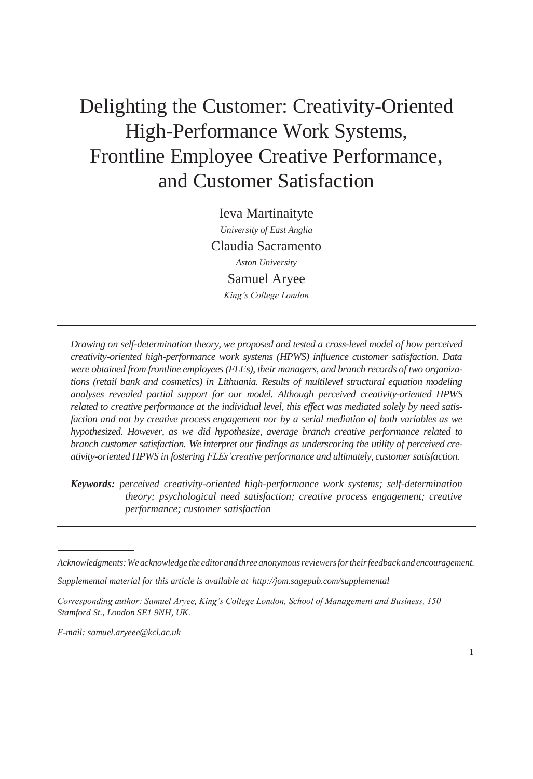# Delighting the Customer: Creativity-Oriented High-Performance Work Systems, Frontline Employee Creative Performance, and Customer Satisfaction

Ieva Martinaityte *University of East Anglia* Claudia Sacramento *Aston University* Samuel Aryee *King's College London*

*Drawing on self-determination theory, we proposed and tested a cross-level model of how perceived creativity-oriented high-performance work systems (HPWS) influence customer satisfaction. Data were obtained from frontline employees (FLEs), their managers, and branch records of two organizations (retail bank and cosmetics) in Lithuania. Results of multilevel structural equation modeling analyses revealed partial support for our model. Although perceived creativity-oriented HPWS related to creative performance at the individual level, this effect was mediated solely by need satisfaction and not by creative process engagement nor by a serial mediation of both variables as we hypothesized. However, as we did hypothesize, average branch creative performance related to branch customer satisfaction. We interpret our findings as underscoring the utility of perceived creativity-oriented HPWS in fostering FLEs'creative performance and ultimately, customersatisfaction.*

*Keywords: perceived creativity-oriented high-performance work systems; self-determination theory; psychological need satisfaction; creative process engagement; creative performance; customer satisfaction*

*Supplemental material for this article is available at <http://jom.sagepub.com/supplemental>*

*Corresponding author: Samuel Aryee, King's College London, School of Management and Business, 150 Stamford St., London SE1 9NH, UK.*

*E-mail: [samuel.aryeee@kcl.ac.uk](mailto:samuel.aryeee@kcl.ac.uk)*

*Acknowledgments:Weacknowledge the editorand threeanonymousreviewersfortheirfeedbackandencouragement.*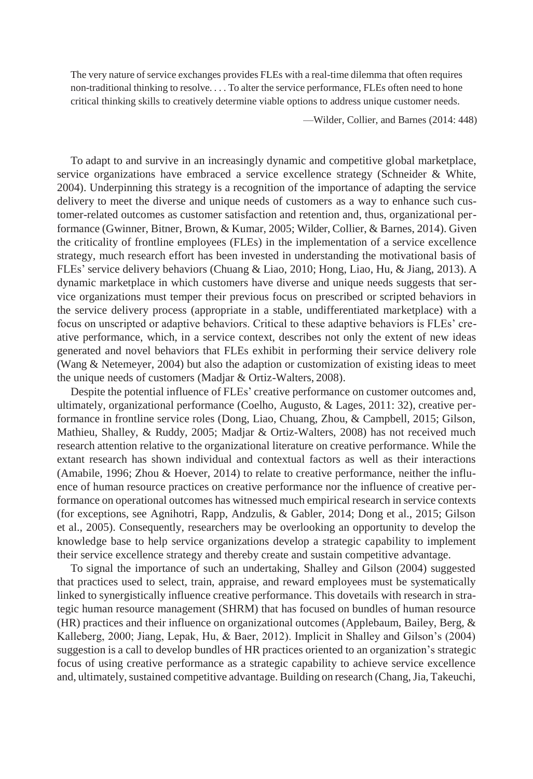The very nature of service exchanges provides FLEs with a real-time dilemma that often requires non-traditional thinking to resolve. . . . To alter the service performance, FLEs often need to hone critical thinking skills to creatively determine viable options to address unique customer needs.

—Wilder, Collier, and Barnes (2014: 448)

To adapt to and survive in an increasingly dynamic and competitive global marketplace, service organizations have embraced a service excellence strategy (Schneider & White, 2004). Underpinning this strategy is a recognition of the importance of adapting the service delivery to meet the diverse and unique needs of customers as a way to enhance such customer-related outcomes as customer satisfaction and retention and, thus, organizational performance (Gwinner, Bitner, Brown, & Kumar, 2005; Wilder, Collier, & Barnes, 2014). Given the criticality of frontline employees (FLEs) in the implementation of a service excellence strategy, much research effort has been invested in understanding the motivational basis of FLEs' service delivery behaviors (Chuang & Liao, 2010; Hong, Liao, Hu, & Jiang, 2013). A dynamic marketplace in which customers have diverse and unique needs suggests that service organizations must temper their previous focus on prescribed or scripted behaviors in the service delivery process (appropriate in a stable, undifferentiated marketplace) with a focus on unscripted or adaptive behaviors. Critical to these adaptive behaviors is FLEs' creative performance, which, in a service context, describes not only the extent of new ideas generated and novel behaviors that FLEs exhibit in performing their service delivery role (Wang & Netemeyer, 2004) but also the adaption or customization of existing ideas to meet the unique needs of customers (Madjar & Ortiz-Walters, 2008).

Despite the potential influence of FLEs' creative performance on customer outcomes and, ultimately, organizational performance (Coelho, Augusto, & Lages, 2011: 32), creative performance in frontline service roles (Dong, Liao, Chuang, Zhou, & Campbell, 2015; Gilson, Mathieu, Shalley, & Ruddy, 2005; Madjar & Ortiz-Walters, 2008) has not received much research attention relative to the organizational literature on creative performance. While the extant research has shown individual and contextual factors as well as their interactions (Amabile, 1996; Zhou & Hoever, 2014) to relate to creative performance, neither the influence of human resource practices on creative performance nor the influence of creative performance on operational outcomes has witnessed much empirical research in service contexts (for exceptions, see Agnihotri, Rapp, Andzulis, & Gabler, 2014; Dong et al., 2015; Gilson et al., 2005). Consequently, researchers may be overlooking an opportunity to develop the knowledge base to help service organizations develop a strategic capability to implement their service excellence strategy and thereby create and sustain competitive advantage.

To signal the importance of such an undertaking, Shalley and Gilson (2004) suggested that practices used to select, train, appraise, and reward employees must be systematically linked to synergistically influence creative performance. This dovetails with research in strategic human resource management (SHRM) that has focused on bundles of human resource (HR) practices and their influence on organizational outcomes (Applebaum, Bailey, Berg, & Kalleberg, 2000; Jiang, Lepak, Hu, & Baer, 2012). Implicit in Shalley and Gilson's (2004) suggestion is a call to develop bundles of HR practices oriented to an organization's strategic focus of using creative performance as a strategic capability to achieve service excellence and, ultimately, sustained competitive advantage. Building on research (Chang, Jia, Takeuchi,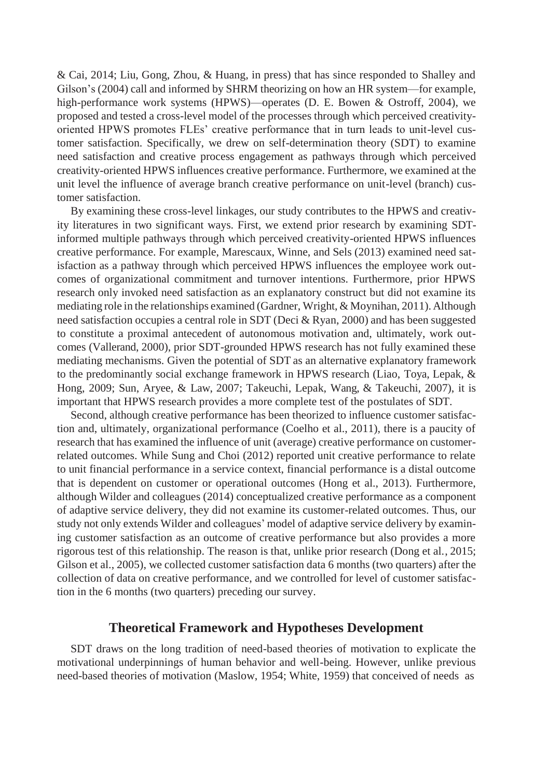& Cai, 2014; Liu, Gong, Zhou, & Huang, in press) that has since responded to Shalley and Gilson's (2004) call and informed by SHRM theorizing on how an HR system—for example, high-performance work systems (HPWS)—operates (D. E. Bowen & Ostroff, 2004), we proposed and tested a cross-level model of the processes through which perceived creativityoriented HPWS promotes FLEs' creative performance that in turn leads to unit-level customer satisfaction. Specifically, we drew on self-determination theory (SDT) to examine need satisfaction and creative process engagement as pathways through which perceived creativity-oriented HPWS influences creative performance. Furthermore, we examined at the unit level the influence of average branch creative performance on unit-level (branch) customer satisfaction.

By examining these cross-level linkages, our study contributes to the HPWS and creativity literatures in two significant ways. First, we extend prior research by examining SDTinformed multiple pathways through which perceived creativity-oriented HPWS influences creative performance. For example, Marescaux, Winne, and Sels (2013) examined need satisfaction as a pathway through which perceived HPWS influences the employee work outcomes of organizational commitment and turnover intentions. Furthermore, prior HPWS research only invoked need satisfaction as an explanatory construct but did not examine its mediating role in the relationships examined (Gardner, Wright, & Moynihan, 2011). Although need satisfaction occupies a central role in SDT (Deci & Ryan, 2000) and has been suggested to constitute a proximal antecedent of autonomous motivation and, ultimately, work outcomes (Vallerand, 2000), prior SDT-grounded HPWS research has not fully examined these mediating mechanisms. Given the potential of SDT as an alternative explanatory framework to the predominantly social exchange framework in HPWS research (Liao, Toya, Lepak, & Hong, 2009; Sun, Aryee, & Law, 2007; Takeuchi, Lepak, Wang, & Takeuchi, 2007), it is important that HPWS research provides a more complete test of the postulates of SDT.

Second, although creative performance has been theorized to influence customer satisfaction and, ultimately, organizational performance (Coelho et al., 2011), there is a paucity of research that has examined the influence of unit (average) creative performance on customerrelated outcomes. While Sung and Choi (2012) reported unit creative performance to relate to unit financial performance in a service context, financial performance is a distal outcome that is dependent on customer or operational outcomes (Hong et al., 2013). Furthermore, although Wilder and colleagues (2014) conceptualized creative performance as a component of adaptive service delivery, they did not examine its customer-related outcomes. Thus, our study not only extends Wilder and colleagues' model of adaptive service delivery by examining customer satisfaction as an outcome of creative performance but also provides a more rigorous test of this relationship. The reason is that, unlike prior research (Dong et al., 2015; Gilson et al., 2005), we collected customer satisfaction data 6 months (two quarters) after the collection of data on creative performance, and we controlled for level of customer satisfaction in the 6 months (two quarters) preceding our survey.

## **Theoretical Framework and Hypotheses Development**

SDT draws on the long tradition of need-based theories of motivation to explicate the motivational underpinnings of human behavior and well-being. However, unlike previous need-based theories of motivation (Maslow, 1954; White, 1959) that conceived of needs as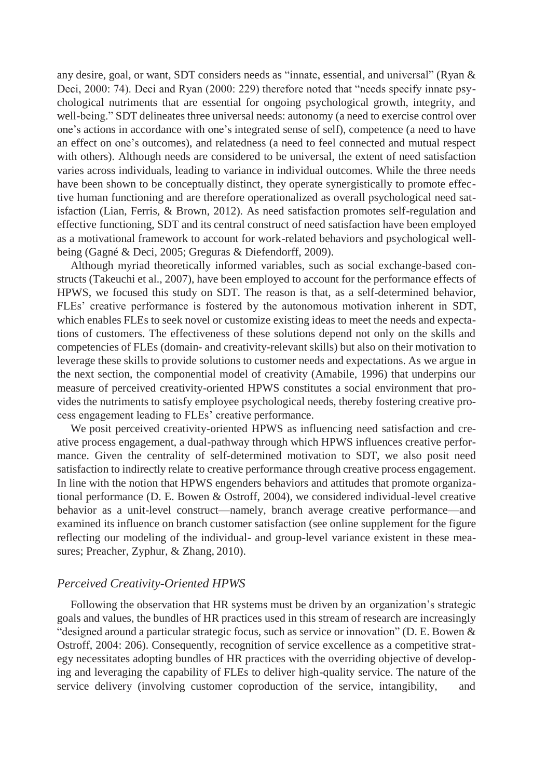any desire, goal, or want, SDT considers needs as "innate, essential, and universal" (Ryan & Deci, 2000: 74). Deci and Ryan (2000: 229) therefore noted that "needs specify innate psychological nutriments that are essential for ongoing psychological growth, integrity, and well-being." SDT delineates three universal needs: autonomy (a need to exercise control over one's actions in accordance with one's integrated sense of self), competence (a need to have an effect on one's outcomes), and relatedness (a need to feel connected and mutual respect with others). Although needs are considered to be universal, the extent of need satisfaction varies across individuals, leading to variance in individual outcomes. While the three needs have been shown to be conceptually distinct, they operate synergistically to promote effective human functioning and are therefore operationalized as overall psychological need satisfaction (Lian, Ferris, & Brown, 2012). As need satisfaction promotes self-regulation and effective functioning, SDT and its central construct of need satisfaction have been employed as a motivational framework to account for work-related behaviors and psychological wellbeing (Gagné & Deci, 2005; Greguras & Diefendorff, 2009).

Although myriad theoretically informed variables, such as social exchange-based constructs (Takeuchi et al., 2007), have been employed to account for the performance effects of HPWS, we focused this study on SDT. The reason is that, as a self-determined behavior, FLEs' creative performance is fostered by the autonomous motivation inherent in SDT, which enables FLEs to seek novel or customize existing ideas to meet the needs and expectations of customers. The effectiveness of these solutions depend not only on the skills and competencies of FLEs (domain- and creativity-relevant skills) but also on their motivation to leverage these skills to provide solutions to customer needs and expectations. As we argue in the next section, the componential model of creativity (Amabile, 1996) that underpins our measure of perceived creativity-oriented HPWS constitutes a social environment that provides the nutriments to satisfy employee psychological needs, thereby fostering creative process engagement leading to FLEs' creative performance.

We posit perceived creativity-oriented HPWS as influencing need satisfaction and creative process engagement, a dual-pathway through which HPWS influences creative performance. Given the centrality of self-determined motivation to SDT, we also posit need satisfaction to indirectly relate to creative performance through creative process engagement. In line with the notion that HPWS engenders behaviors and attitudes that promote organizational performance (D. E. Bowen & Ostroff, 2004), we considered individual-level creative behavior as a unit-level construct—namely, branch average creative performance—and examined its influence on branch customer satisfaction (see online supplement for the figure reflecting our modeling of the individual- and group-level variance existent in these measures; Preacher, Zyphur, & Zhang, 2010).

#### *Perceived Creativity-Oriented HPWS*

Following the observation that HR systems must be driven by an organization's strategic goals and values, the bundles of HR practices used in this stream of research are increasingly "designed around a particular strategic focus, such as service or innovation" (D. E. Bowen & Ostroff, 2004: 206). Consequently, recognition of service excellence as a competitive strategy necessitates adopting bundles of HR practices with the overriding objective of developing and leveraging the capability of FLEs to deliver high-quality service. The nature of the service delivery (involving customer coproduction of the service, intangibility, and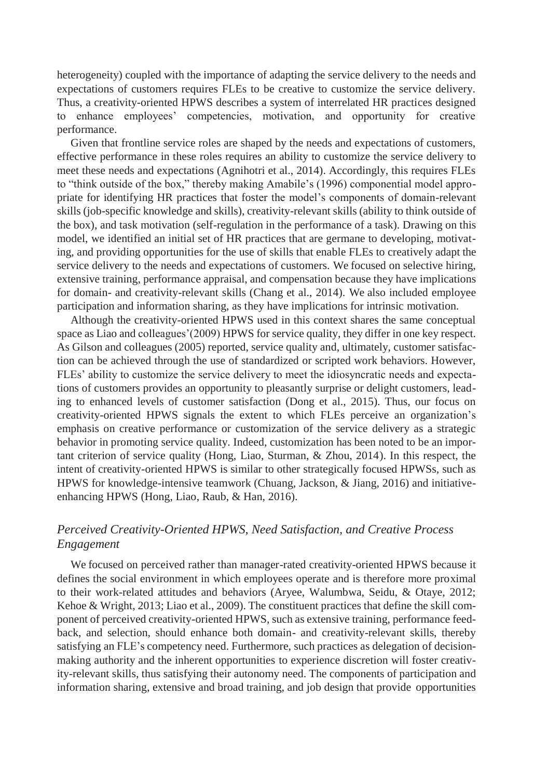heterogeneity) coupled with the importance of adapting the service delivery to the needs and expectations of customers requires FLEs to be creative to customize the service delivery. Thus, a creativity-oriented HPWS describes a system of interrelated HR practices designed to enhance employees' competencies, motivation, and opportunity for creative performance.

Given that frontline service roles are shaped by the needs and expectations of customers, effective performance in these roles requires an ability to customize the service delivery to meet these needs and expectations (Agnihotri et al., 2014). Accordingly, this requires FLEs to "think outside of the box," thereby making Amabile's (1996) componential model appropriate for identifying HR practices that foster the model's components of domain-relevant skills (job-specific knowledge and skills), creativity-relevant skills (ability to think outside of the box), and task motivation (self-regulation in the performance of a task). Drawing on this model, we identified an initial set of HR practices that are germane to developing, motivating, and providing opportunities for the use of skills that enable FLEs to creatively adapt the service delivery to the needs and expectations of customers. We focused on selective hiring, extensive training, performance appraisal, and compensation because they have implications for domain- and creativity-relevant skills (Chang et al., 2014). We also included employee participation and information sharing, as they have implications for intrinsic motivation.

Although the creativity-oriented HPWS used in this context shares the same conceptual space as Liao and colleagues'(2009) HPWS for service quality, they differ in one key respect. As Gilson and colleagues (2005) reported, service quality and, ultimately, customer satisfaction can be achieved through the use of standardized or scripted work behaviors. However, FLEs' ability to customize the service delivery to meet the idiosyncratic needs and expectations of customers provides an opportunity to pleasantly surprise or delight customers, leading to enhanced levels of customer satisfaction (Dong et al., 2015). Thus, our focus on creativity-oriented HPWS signals the extent to which FLEs perceive an organization's emphasis on creative performance or customization of the service delivery as a strategic behavior in promoting service quality. Indeed, customization has been noted to be an important criterion of service quality (Hong, Liao, Sturman, & Zhou, 2014). In this respect, the intent of creativity-oriented HPWS is similar to other strategically focused HPWSs, such as HPWS for knowledge-intensive teamwork (Chuang, Jackson, & Jiang, 2016) and initiativeenhancing HPWS (Hong, Liao, Raub, & Han, 2016).

# *Perceived Creativity-Oriented HPWS, Need Satisfaction, and Creative Process Engagement*

We focused on perceived rather than manager-rated creativity-oriented HPWS because it defines the social environment in which employees operate and is therefore more proximal to their work-related attitudes and behaviors (Aryee, Walumbwa, Seidu, & Otaye, 2012; Kehoe & Wright, 2013; Liao et al., 2009). The constituent practices that define the skill component of perceived creativity-oriented HPWS, such as extensive training, performance feedback, and selection, should enhance both domain- and creativity-relevant skills, thereby satisfying an FLE's competency need. Furthermore, such practices as delegation of decisionmaking authority and the inherent opportunities to experience discretion will foster creativity-relevant skills, thus satisfying their autonomy need. The components of participation and information sharing, extensive and broad training, and job design that provide opportunities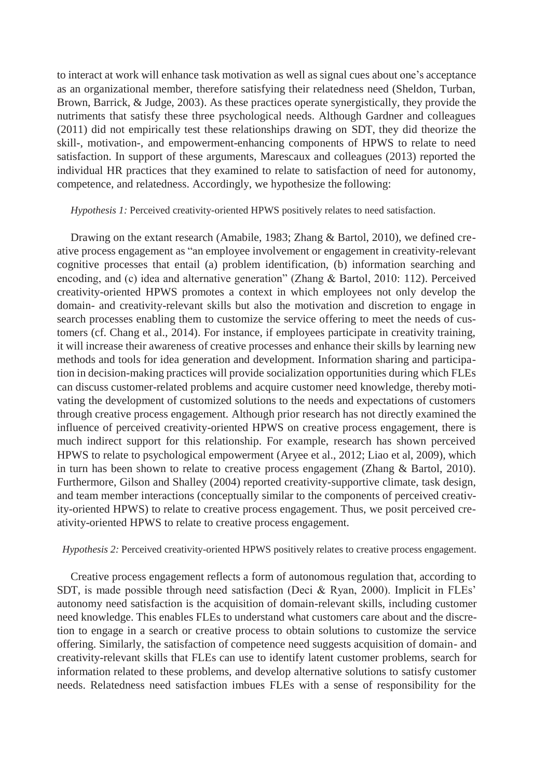to interact at work will enhance task motivation as well as signal cues about one's acceptance as an organizational member, therefore satisfying their relatedness need (Sheldon, Turban, Brown, Barrick, & Judge, 2003). As these practices operate synergistically, they provide the nutriments that satisfy these three psychological needs. Although Gardner and colleagues (2011) did not empirically test these relationships drawing on SDT, they did theorize the skill-, motivation-, and empowerment-enhancing components of HPWS to relate to need satisfaction. In support of these arguments, Marescaux and colleagues (2013) reported the individual HR practices that they examined to relate to satisfaction of need for autonomy, competence, and relatedness. Accordingly, we hypothesize the following:

*Hypothesis 1:* Perceived creativity-oriented HPWS positively relates to need satisfaction.

Drawing on the extant research (Amabile, 1983; Zhang & Bartol, 2010), we defined creative process engagement as "an employee involvement or engagement in creativity-relevant cognitive processes that entail (a) problem identification, (b) information searching and encoding, and (c) idea and alternative generation" (Zhang & Bartol, 2010: 112). Perceived creativity-oriented HPWS promotes a context in which employees not only develop the domain- and creativity-relevant skills but also the motivation and discretion to engage in search processes enabling them to customize the service offering to meet the needs of customers (cf. Chang et al., 2014). For instance, if employees participate in creativity training, it will increase their awareness of creative processes and enhance their skills by learning new methods and tools for idea generation and development. Information sharing and participation in decision-making practices will provide socialization opportunities during which FLEs can discuss customer-related problems and acquire customer need knowledge, thereby motivating the development of customized solutions to the needs and expectations of customers through creative process engagement. Although prior research has not directly examined the influence of perceived creativity-oriented HPWS on creative process engagement, there is much indirect support for this relationship. For example, research has shown perceived HPWS to relate to psychological empowerment (Aryee et al., 2012; Liao et al, 2009), which in turn has been shown to relate to creative process engagement (Zhang & Bartol, 2010). Furthermore, Gilson and Shalley (2004) reported creativity-supportive climate, task design, and team member interactions (conceptually similar to the components of perceived creativity-oriented HPWS) to relate to creative process engagement. Thus, we posit perceived creativity-oriented HPWS to relate to creative process engagement.

*Hypothesis 2:* Perceived creativity-oriented HPWS positively relates to creative process engagement.

Creative process engagement reflects a form of autonomous regulation that, according to SDT, is made possible through need satisfaction (Deci & Ryan, 2000). Implicit in FLEs' autonomy need satisfaction is the acquisition of domain-relevant skills, including customer need knowledge. This enables FLEs to understand what customers care about and the discretion to engage in a search or creative process to obtain solutions to customize the service offering. Similarly, the satisfaction of competence need suggests acquisition of domain- and creativity-relevant skills that FLEs can use to identify latent customer problems, search for information related to these problems, and develop alternative solutions to satisfy customer needs. Relatedness need satisfaction imbues FLEs with a sense of responsibility for the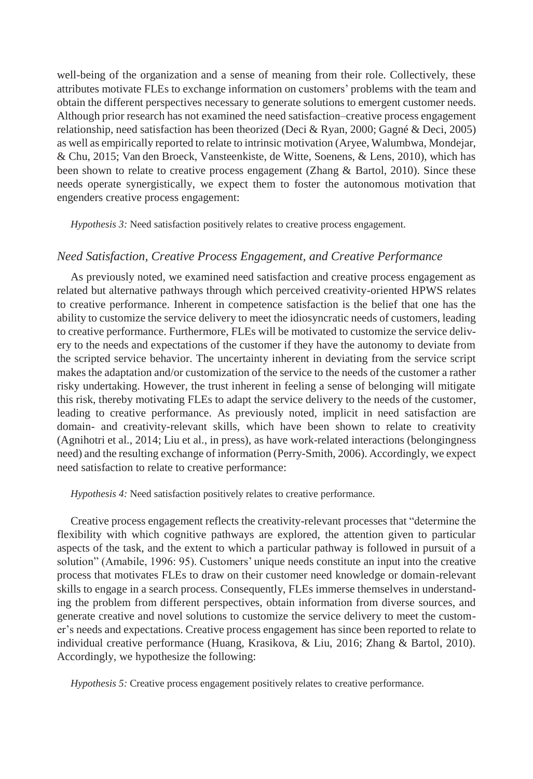well-being of the organization and a sense of meaning from their role. Collectively, these attributes motivate FLEs to exchange information on customers' problems with the team and obtain the different perspectives necessary to generate solutions to emergent customer needs. Although prior research has not examined the need satisfaction–creative process engagement relationship, need satisfaction has been theorized (Deci & Ryan, 2000; Gagné & Deci, 2005) as well as empirically reported to relate to intrinsic motivation (Aryee, Walumbwa, Mondejar, & Chu, 2015; Van den Broeck, Vansteenkiste, de Witte, Soenens, & Lens, 2010), which has been shown to relate to creative process engagement (Zhang & Bartol, 2010). Since these needs operate synergistically, we expect them to foster the autonomous motivation that engenders creative process engagement:

*Hypothesis 3:* Need satisfaction positively relates to creative process engagement.

## *Need Satisfaction, Creative Process Engagement, and Creative Performance*

As previously noted, we examined need satisfaction and creative process engagement as related but alternative pathways through which perceived creativity-oriented HPWS relates to creative performance. Inherent in competence satisfaction is the belief that one has the ability to customize the service delivery to meet the idiosyncratic needs of customers, leading to creative performance. Furthermore, FLEs will be motivated to customize the service delivery to the needs and expectations of the customer if they have the autonomy to deviate from the scripted service behavior. The uncertainty inherent in deviating from the service script makes the adaptation and/or customization of the service to the needs of the customer a rather risky undertaking. However, the trust inherent in feeling a sense of belonging will mitigate this risk, thereby motivating FLEs to adapt the service delivery to the needs of the customer, leading to creative performance. As previously noted, implicit in need satisfaction are domain- and creativity-relevant skills, which have been shown to relate to creativity (Agnihotri et al., 2014; Liu et al., in press), as have work-related interactions (belongingness need) and the resulting exchange of information (Perry-Smith, 2006). Accordingly, we expect need satisfaction to relate to creative performance:

*Hypothesis 4:* Need satisfaction positively relates to creative performance.

Creative process engagement reflects the creativity-relevant processes that "determine the flexibility with which cognitive pathways are explored, the attention given to particular aspects of the task, and the extent to which a particular pathway is followed in pursuit of a solution" (Amabile, 1996: 95). Customers' unique needs constitute an input into the creative process that motivates FLEs to draw on their customer need knowledge or domain-relevant skills to engage in a search process. Consequently, FLEs immerse themselves in understanding the problem from different perspectives, obtain information from diverse sources, and generate creative and novel solutions to customize the service delivery to meet the customer's needs and expectations. Creative process engagement has since been reported to relate to individual creative performance (Huang, Krasikova, & Liu, 2016; Zhang & Bartol, 2010). Accordingly, we hypothesize the following:

*Hypothesis 5:* Creative process engagement positively relates to creative performance.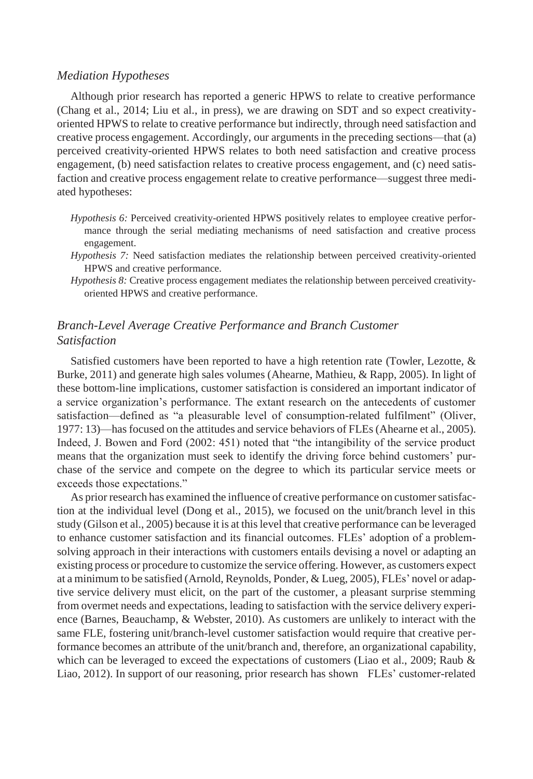#### *Mediation Hypotheses*

Although prior research has reported a generic HPWS to relate to creative performance (Chang et al., 2014; Liu et al., in press), we are drawing on SDT and so expect creativityoriented HPWS to relate to creative performance but indirectly, through need satisfaction and creative process engagement. Accordingly, our arguments in the preceding sections—that (a) perceived creativity-oriented HPWS relates to both need satisfaction and creative process engagement, (b) need satisfaction relates to creative process engagement, and (c) need satisfaction and creative process engagement relate to creative performance—suggest three mediated hypotheses:

- *Hypothesis 6:* Perceived creativity-oriented HPWS positively relates to employee creative performance through the serial mediating mechanisms of need satisfaction and creative process engagement.
- *Hypothesis 7:* Need satisfaction mediates the relationship between perceived creativity-oriented HPWS and creative performance.
- *Hypothesis 8:* Creative process engagement mediates the relationship between perceived creativityoriented HPWS and creative performance.

# *Branch-Level Average Creative Performance and Branch Customer Satisfaction*

Satisfied customers have been reported to have a high retention rate (Towler, Lezotte, & Burke, 2011) and generate high sales volumes (Ahearne, Mathieu, & Rapp, 2005). In light of these bottom-line implications, customer satisfaction is considered an important indicator of a service organization's performance. The extant research on the antecedents of customer satisfaction—defined as "a pleasurable level of consumption-related fulfilment" (Oliver, 1977: 13)—has focused on the attitudes and service behaviors of FLEs (Ahearne et al., 2005). Indeed, J. Bowen and Ford (2002: 451) noted that "the intangibility of the service product means that the organization must seek to identify the driving force behind customers' purchase of the service and compete on the degree to which its particular service meets or exceeds those expectations."

As prior research has examined the influence of creative performance on customer satisfaction at the individual level (Dong et al., 2015), we focused on the unit/branch level in this study (Gilson et al., 2005) because it is at thislevel that creative performance can be leveraged to enhance customer satisfaction and its financial outcomes. FLEs' adoption of a problemsolving approach in their interactions with customers entails devising a novel or adapting an existing process or procedure to customize the service offering. However, as customers expect at a minimum to be satisfied (Arnold, Reynolds, Ponder, & Lueg, 2005), FLEs' novel or adaptive service delivery must elicit, on the part of the customer, a pleasant surprise stemming from overmet needs and expectations, leading to satisfaction with the service delivery experience (Barnes, Beauchamp, & Webster, 2010). As customers are unlikely to interact with the same FLE, fostering unit/branch-level customer satisfaction would require that creative performance becomes an attribute of the unit/branch and, therefore, an organizational capability, which can be leveraged to exceed the expectations of customers (Liao et al., 2009; Raub  $\&$ Liao, 2012). In support of our reasoning, prior research has shown FLEs' customer-related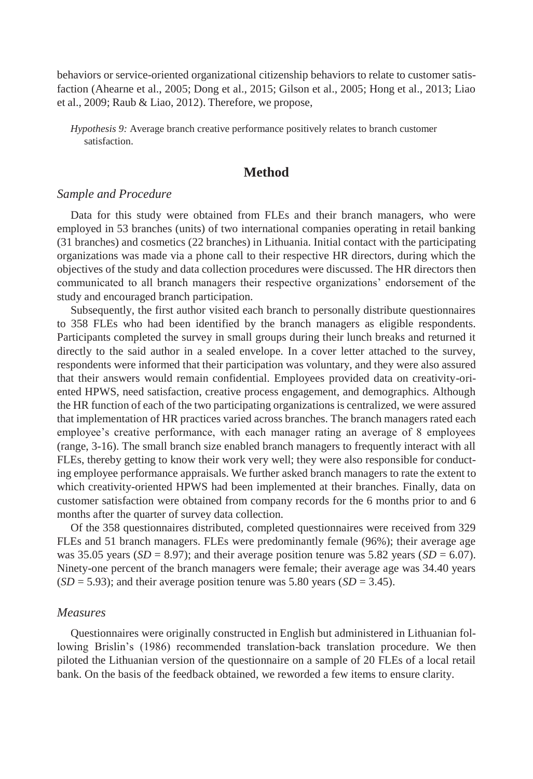behaviors or service-oriented organizational citizenship behaviors to relate to customer satisfaction (Ahearne et al., 2005; Dong et al., 2015; Gilson et al., 2005; Hong et al., 2013; Liao et al., 2009; Raub & Liao, 2012). Therefore, we propose,

*Hypothesis 9:* Average branch creative performance positively relates to branch customer satisfaction.

# **Method**

#### *Sample and Procedure*

Data for this study were obtained from FLEs and their branch managers, who were employed in 53 branches (units) of two international companies operating in retail banking (31 branches) and cosmetics (22 branches) in Lithuania. Initial contact with the participating organizations was made via a phone call to their respective HR directors, during which the objectives of the study and data collection procedures were discussed. The HR directors then communicated to all branch managers their respective organizations' endorsement of the study and encouraged branch participation.

Subsequently, the first author visited each branch to personally distribute questionnaires to 358 FLEs who had been identified by the branch managers as eligible respondents. Participants completed the survey in small groups during their lunch breaks and returned it directly to the said author in a sealed envelope. In a cover letter attached to the survey, respondents were informed that their participation was voluntary, and they were also assured that their answers would remain confidential. Employees provided data on creativity-oriented HPWS, need satisfaction, creative process engagement, and demographics. Although the HR function of each of the two participating organizations is centralized, we were assured that implementation of HR practices varied across branches. The branch managers rated each employee's creative performance, with each manager rating an average of 8 employees (range, 3-16). The small branch size enabled branch managers to frequently interact with all FLEs, thereby getting to know their work very well; they were also responsible for conducting employee performance appraisals. We further asked branch managers to rate the extent to which creativity-oriented HPWS had been implemented at their branches. Finally, data on customer satisfaction were obtained from company records for the 6 months prior to and 6 months after the quarter of survey data collection.

Of the 358 questionnaires distributed, completed questionnaires were received from 329 FLEs and 51 branch managers. FLEs were predominantly female (96%); their average age was 35.05 years (*SD* = 8.97); and their average position tenure was 5.82 years (*SD* = 6.07). Ninety-one percent of the branch managers were female; their average age was 34.40 years  $(SD = 5.93)$ ; and their average position tenure was 5.80 years  $(SD = 3.45)$ .

#### *Measures*

Questionnaires were originally constructed in English but administered in Lithuanian following Brislin's (1986) recommended translation-back translation procedure. We then piloted the Lithuanian version of the questionnaire on a sample of 20 FLEs of a local retail bank. On the basis of the feedback obtained, we reworded a few items to ensure clarity.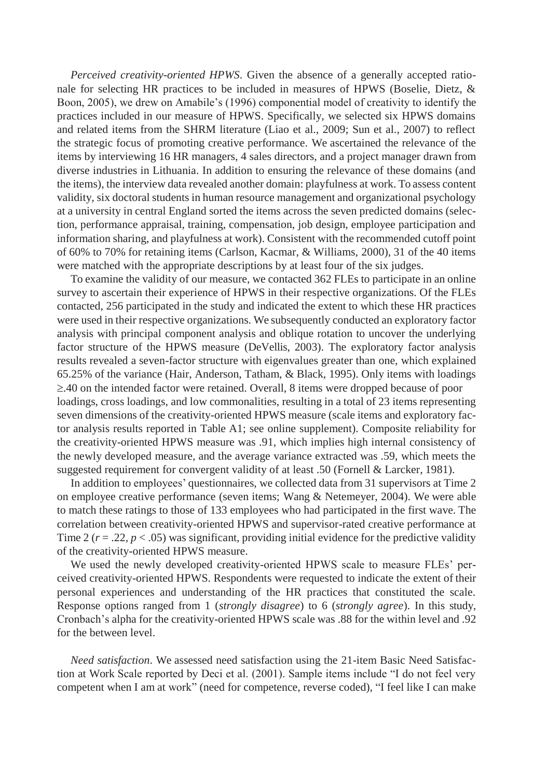*Perceived creativity-oriented HPWS*. Given the absence of a generally accepted rationale for selecting HR practices to be included in measures of HPWS (Boselie, Dietz, & Boon, 2005), we drew on Amabile's (1996) componential model of creativity to identify the practices included in our measure of HPWS. Specifically, we selected six HPWS domains and related items from the SHRM literature (Liao et al., 2009; Sun et al., 2007) to reflect the strategic focus of promoting creative performance. We ascertained the relevance of the items by interviewing 16 HR managers, 4 sales directors, and a project manager drawn from diverse industries in Lithuania. In addition to ensuring the relevance of these domains (and the items), the interview data revealed another domain: playfulness at work. To assess content validity, six doctoral students in human resource management and organizational psychology at a university in central England sorted the items across the seven predicted domains (selection, performance appraisal, training, compensation, job design, employee participation and information sharing, and playfulness at work). Consistent with the recommended cutoff point of 60% to 70% for retaining items (Carlson, Kacmar, & Williams, 2000), 31 of the 40 items were matched with the appropriate descriptions by at least four of the six judges.

To examine the validity of our measure, we contacted 362 FLEs to participate in an online survey to ascertain their experience of HPWS in their respective organizations. Of the FLEs contacted, 256 participated in the study and indicated the extent to which these HR practices were used in their respective organizations. We subsequently conducted an exploratory factor analysis with principal component analysis and oblique rotation to uncover the underlying factor structure of the HPWS measure (DeVellis, 2003). The exploratory factor analysis results revealed a seven-factor structure with eigenvalues greater than one, which explained 65.25% of the variance (Hair, Anderson, Tatham, & Black, 1995). Only items with loadings  $\geq$ .40 on the intended factor were retained. Overall, 8 items were dropped because of poor loadings, cross loadings, and low commonalities, resulting in a total of 23 items representing seven dimensions of the creativity-oriented HPWS measure (scale items and exploratory factor analysis results reported in Table A1; see online supplement). Composite reliability for the creativity-oriented HPWS measure was .91, which implies high internal consistency of the newly developed measure, and the average variance extracted was .59, which meets the suggested requirement for convergent validity of at least .50 (Fornell & Larcker, 1981).

In addition to employees' questionnaires, we collected data from 31 supervisors at Time 2 on employee creative performance (seven items; Wang & Netemeyer, 2004). We were able to match these ratings to those of 133 employees who had participated in the first wave. The correlation between creativity-oriented HPWS and supervisor-rated creative performance at Time 2 ( $r = .22$ ,  $p < .05$ ) was significant, providing initial evidence for the predictive validity of the creativity-oriented HPWS measure.

We used the newly developed creativity-oriented HPWS scale to measure FLEs' perceived creativity-oriented HPWS. Respondents were requested to indicate the extent of their personal experiences and understanding of the HR practices that constituted the scale. Response options ranged from 1 (*strongly disagree*) to 6 (*strongly agree*). In this study, Cronbach's alpha for the creativity-oriented HPWS scale was .88 for the within level and .92 for the between level.

*Need satisfaction*. We assessed need satisfaction using the 21-item Basic Need Satisfaction at Work Scale reported by Deci et al. (2001). Sample items include "I do not feel very competent when I am at work" (need for competence, reverse coded), "I feel like I can make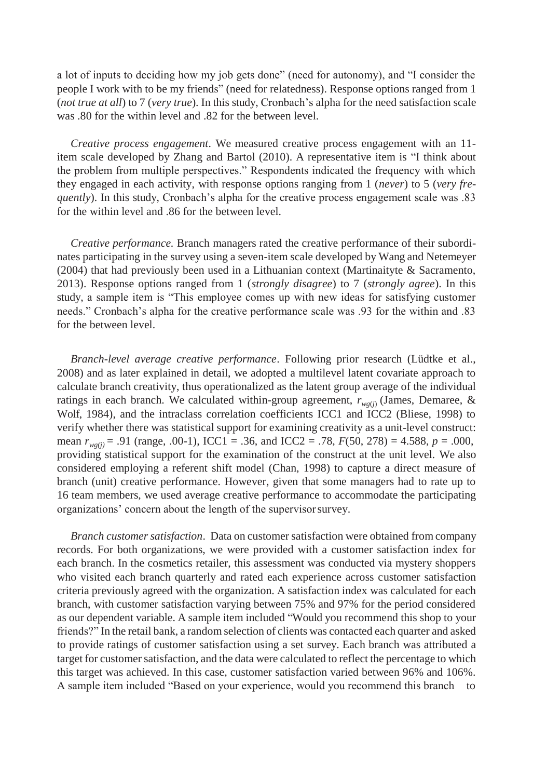a lot of inputs to deciding how my job gets done" (need for autonomy), and "I consider the people I work with to be my friends" (need for relatedness). Response options ranged from 1 (*not true at all*) to 7 (*very true*). In this study, Cronbach's alpha for the need satisfaction scale was .80 for the within level and .82 for the between level.

*Creative process engagement*. We measured creative process engagement with an 11 item scale developed by Zhang and Bartol (2010). A representative item is "I think about the problem from multiple perspectives." Respondents indicated the frequency with which they engaged in each activity, with response options ranging from 1 (*never*) to 5 (*very frequently*). In this study, Cronbach's alpha for the creative process engagement scale was .83 for the within level and .86 for the between level.

*Creative performance.* Branch managers rated the creative performance of their subordinates participating in the survey using a seven-item scale developed by Wang and Netemeyer (2004) that had previously been used in a Lithuanian context (Martinaityte & Sacramento, 2013). Response options ranged from 1 (*strongly disagree*) to 7 (*strongly agree*). In this study, a sample item is "This employee comes up with new ideas for satisfying customer needs." Cronbach's alpha for the creative performance scale was .93 for the within and .83 for the between level.

*Branch-level average creative performance*. Following prior research (Lüdtke et al., 2008) and as later explained in detail, we adopted a multilevel latent covariate approach to calculate branch creativity, thus operationalized as the latent group average of the individual ratings in each branch. We calculated within-group agreement,  $r_{w\varrho(j)}$  (James, Demaree, & Wolf, 1984), and the intraclass correlation coefficients ICC1 and ICC2 (Bliese, 1998) to verify whether there was statistical support for examining creativity as a unit-level construct: mean *rwg(j)* = .91 (range, .00-1), ICC1 = .36, and ICC2 = .78, *F*(50, 278) = 4.588, *p* = .000, providing statistical support for the examination of the construct at the unit level. We also considered employing a referent shift model (Chan, 1998) to capture a direct measure of branch (unit) creative performance. However, given that some managers had to rate up to 16 team members, we used average creative performance to accommodate the participating organizations' concern about the length of the supervisorsurvey.

*Branch customer satisfaction.* Data on customer satisfaction were obtained from company records. For both organizations, we were provided with a customer satisfaction index for each branch. In the cosmetics retailer, this assessment was conducted via mystery shoppers who visited each branch quarterly and rated each experience across customer satisfaction criteria previously agreed with the organization. A satisfaction index was calculated for each branch, with customer satisfaction varying between 75% and 97% for the period considered as our dependent variable. A sample item included "Would you recommend this shop to your friends?" In the retail bank, a random selection of clients was contacted each quarter and asked to provide ratings of customer satisfaction using a set survey. Each branch was attributed a target for customer satisfaction, and the data were calculated to reflect the percentage to which this target was achieved. In this case, customer satisfaction varied between 96% and 106%. A sample item included "Based on your experience, would you recommend this branch to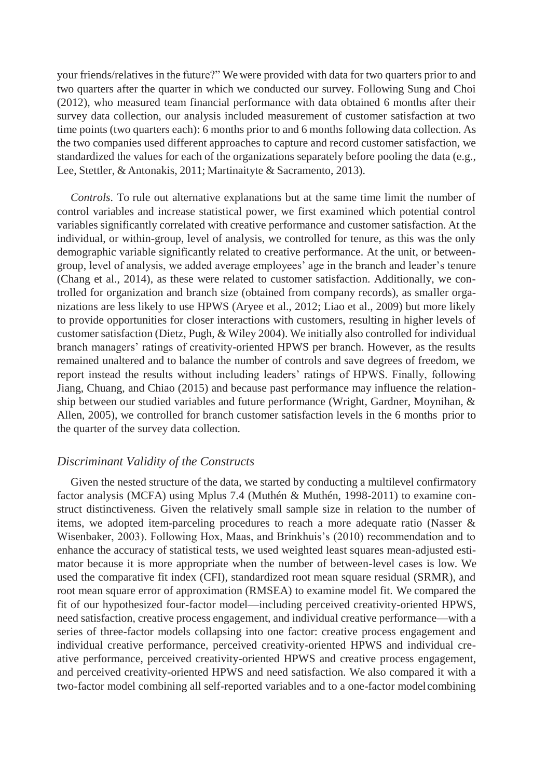your friends/relatives in the future?" We were provided with data for two quarters prior to and two quarters after the quarter in which we conducted our survey. Following Sung and Choi (2012), who measured team financial performance with data obtained 6 months after their survey data collection, our analysis included measurement of customer satisfaction at two time points (two quarters each): 6 months prior to and 6 months following data collection. As the two companies used different approaches to capture and record customer satisfaction, we standardized the values for each of the organizations separately before pooling the data (e.g., Lee, Stettler, & Antonakis, 2011; Martinaityte & Sacramento, 2013).

*Controls*. To rule out alternative explanations but at the same time limit the number of control variables and increase statistical power, we first examined which potential control variables significantly correlated with creative performance and customer satisfaction. At the individual, or within-group, level of analysis, we controlled for tenure, as this was the only demographic variable significantly related to creative performance. At the unit, or betweengroup, level of analysis, we added average employees' age in the branch and leader's tenure (Chang et al., 2014), as these were related to customer satisfaction. Additionally, we controlled for organization and branch size (obtained from company records), as smaller organizations are less likely to use HPWS (Aryee et al., 2012; Liao et al., 2009) but more likely to provide opportunities for closer interactions with customers, resulting in higher levels of customer satisfaction (Dietz, Pugh, & Wiley 2004). We initially also controlled for individual branch managers' ratings of creativity-oriented HPWS per branch. However, as the results remained unaltered and to balance the number of controls and save degrees of freedom, we report instead the results without including leaders' ratings of HPWS. Finally, following Jiang, Chuang, and Chiao (2015) and because past performance may influence the relationship between our studied variables and future performance (Wright, Gardner, Moynihan, & Allen, 2005), we controlled for branch customer satisfaction levels in the 6 months prior to the quarter of the survey data collection.

## *Discriminant Validity of the Constructs*

Given the nested structure of the data, we started by conducting a multilevel confirmatory factor analysis (MCFA) using Mplus 7.4 (Muthén & Muthén, 1998-2011) to examine construct distinctiveness. Given the relatively small sample size in relation to the number of items, we adopted item-parceling procedures to reach a more adequate ratio (Nasser & Wisenbaker, 2003). Following Hox, Maas, and Brinkhuis's (2010) recommendation and to enhance the accuracy of statistical tests, we used weighted least squares mean-adjusted estimator because it is more appropriate when the number of between-level cases is low. We used the comparative fit index (CFI), standardized root mean square residual (SRMR), and root mean square error of approximation (RMSEA) to examine model fit. We compared the fit of our hypothesized four-factor model—including perceived creativity-oriented HPWS, need satisfaction, creative process engagement, and individual creative performance—with a series of three-factor models collapsing into one factor: creative process engagement and individual creative performance, perceived creativity-oriented HPWS and individual creative performance, perceived creativity-oriented HPWS and creative process engagement, and perceived creativity-oriented HPWS and need satisfaction. We also compared it with a two-factor model combining all self-reported variables and to a one-factor modelcombining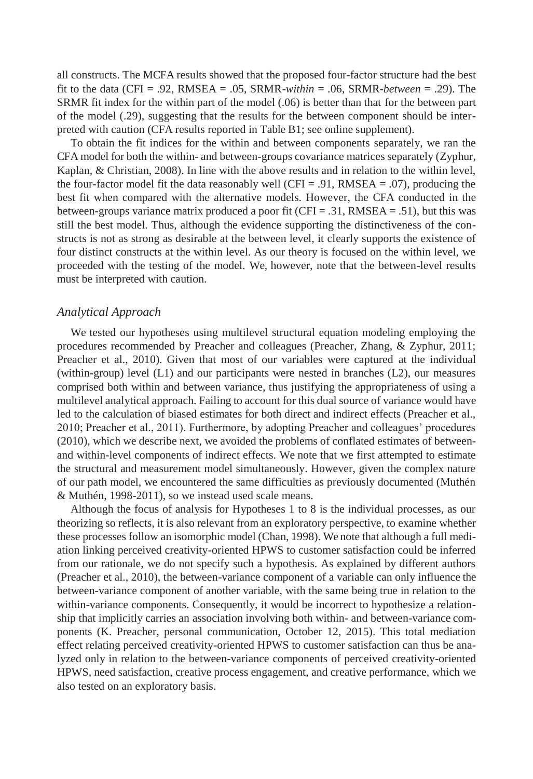all constructs. The MCFA results showed that the proposed four-factor structure had the best fit to the data (CFI = .92, RMSEA = .05, SRMR-*within* = .06, SRMR-*between* = .29). The SRMR fit index for the within part of the model (.06) is better than that for the between part of the model (.29), suggesting that the results for the between component should be interpreted with caution (CFA results reported in Table B1; see online supplement).

To obtain the fit indices for the within and between components separately, we ran the CFA model for both the within- and between-groups covariance matrices separately (Zyphur, Kaplan, & Christian, 2008). In line with the above results and in relation to the within level, the four-factor model fit the data reasonably well (CFI = .91, RMSEA = .07), producing the best fit when compared with the alternative models. However, the CFA conducted in the between-groups variance matrix produced a poor fit (CFI = .31, RMSEA = .51), but this was still the best model. Thus, although the evidence supporting the distinctiveness of the constructs is not as strong as desirable at the between level, it clearly supports the existence of four distinct constructs at the within level. As our theory is focused on the within level, we proceeded with the testing of the model. We, however, note that the between-level results must be interpreted with caution.

#### *Analytical Approach*

We tested our hypotheses using multilevel structural equation modeling employing the procedures recommended by Preacher and colleagues (Preacher, Zhang, & Zyphur, 2011; Preacher et al., 2010). Given that most of our variables were captured at the individual (within-group) level (L1) and our participants were nested in branches (L2), our measures comprised both within and between variance, thus justifying the appropriateness of using a multilevel analytical approach. Failing to account for this dual source of variance would have led to the calculation of biased estimates for both direct and indirect effects (Preacher et al., 2010; Preacher et al., 2011). Furthermore, by adopting Preacher and colleagues' procedures (2010), which we describe next, we avoided the problems of conflated estimates of betweenand within-level components of indirect effects. We note that we first attempted to estimate the structural and measurement model simultaneously. However, given the complex nature of our path model, we encountered the same difficulties as previously documented (Muthén & Muthén, 1998-2011), so we instead used scale means.

Although the focus of analysis for Hypotheses 1 to 8 is the individual processes, as our theorizing so reflects, it is also relevant from an exploratory perspective, to examine whether these processes follow an isomorphic model (Chan, 1998). We note that although a full mediation linking perceived creativity-oriented HPWS to customer satisfaction could be inferred from our rationale, we do not specify such a hypothesis. As explained by different authors (Preacher et al., 2010), the between-variance component of a variable can only influence the between-variance component of another variable, with the same being true in relation to the within-variance components. Consequently, it would be incorrect to hypothesize a relationship that implicitly carries an association involving both within- and between-variance components (K. Preacher, personal communication, October 12, 2015). This total mediation effect relating perceived creativity-oriented HPWS to customer satisfaction can thus be analyzed only in relation to the between-variance components of perceived creativity-oriented HPWS, need satisfaction, creative process engagement, and creative performance, which we also tested on an exploratory basis.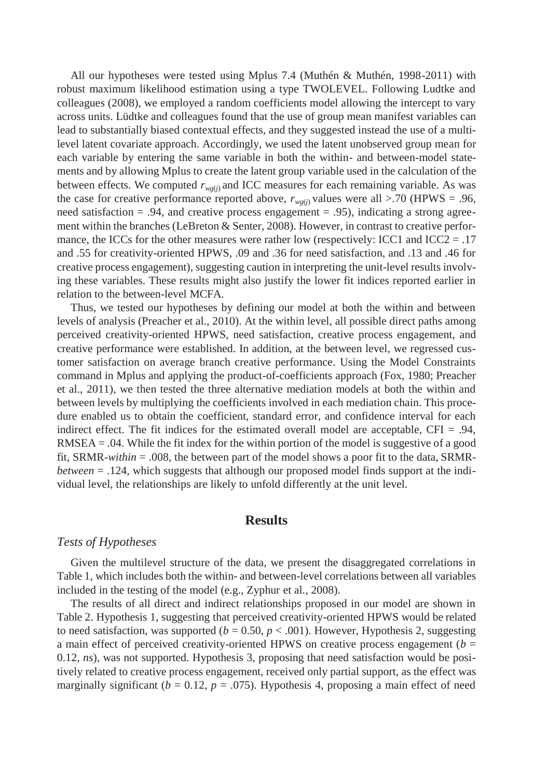All our hypotheses were tested using Mplus 7.4 (Muthén & Muthén, 1998-2011) with robust maximum likelihood estimation using a type TWOLEVEL. Following Ludtke and colleagues (2008), we employed a random coefficients model allowing the intercept to vary across units. Lüdtke and colleagues found that the use of group mean manifest variables can lead to substantially biased contextual effects, and they suggested instead the use of a multilevel latent covariate approach. Accordingly, we used the latent unobserved group mean for each variable by entering the same variable in both the within- and between-model statements and by allowing Mplus to create the latent group variable used in the calculation of the between effects. We computed  $r_{wg(j)}$  and ICC measures for each remaining variable. As was the case for creative performance reported above,  $r_{wg(j)}$  values were all >.70 (HPWS = .96, need satisfaction  $= .94$ , and creative process engagement  $= .95$ ), indicating a strong agreement within the branches (LeBreton & Senter, 2008). However, in contrast to creative performance, the ICCs for the other measures were rather low (respectively: ICC1 and ICC2 = .17 and .55 for creativity-oriented HPWS, .09 and .36 for need satisfaction, and .13 and .46 for creative process engagement), suggesting caution in interpreting the unit-level results involving these variables. These results might also justify the lower fit indices reported earlier in relation to the between-level MCFA.

Thus, we tested our hypotheses by defining our model at both the within and between levels of analysis (Preacher et al., 2010). At the within level, all possible direct paths among perceived creativity-oriented HPWS, need satisfaction, creative process engagement, and creative performance were established. In addition, at the between level, we regressed customer satisfaction on average branch creative performance. Using the Model Constraints command in Mplus and applying the product-of-coefficients approach (Fox, 1980; Preacher et al., 2011), we then tested the three alternative mediation models at both the within and between levels by multiplying the coefficients involved in each mediation chain. This procedure enabled us to obtain the coefficient, standard error, and confidence interval for each indirect effect. The fit indices for the estimated overall model are acceptable,  $CFI = .94$ , RMSEA = .04. While the fit index for the within portion of the model is suggestive of a good fit, SRMR-*within* = .008, the between part of the model shows a poor fit to the data, SRMR*between* = .124, which suggests that although our proposed model finds support at the individual level, the relationships are likely to unfold differently at the unit level.

# **Results**

#### *Tests of Hypotheses*

Given the multilevel structure of the data, we present the disaggregated correlations in Table 1, which includes both the within- and between-level correlations between all variables included in the testing of the model (e.g., Zyphur et al., 2008).

The results of all direct and indirect relationships proposed in our model are shown in Table 2. Hypothesis 1, suggesting that perceived creativity-oriented HPWS would be related to need satisfaction, was supported  $(b = 0.50, p < .001)$ . However, Hypothesis 2, suggesting a main effect of perceived creativity-oriented HPWS on creative process engagement (*b* = 0.12, *ns*), was not supported. Hypothesis 3, proposing that need satisfaction would be positively related to creative process engagement, received only partial support, as the effect was marginally significant ( $b = 0.12$ ,  $p = .075$ ). Hypothesis 4, proposing a main effect of need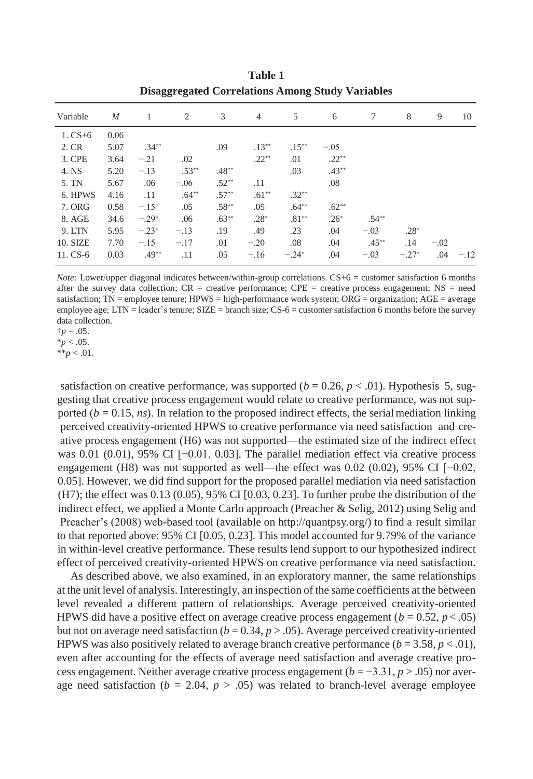| $\overline{M}$ | 1        | 2       | 3        | $\overline{4}$ | 5        | 6       | 7        | 8       | 9      | 10     |
|----------------|----------|---------|----------|----------------|----------|---------|----------|---------|--------|--------|
| 0.06           |          |         |          |                |          |         |          |         |        |        |
| 5.07           | $.34**$  |         | .09      | $.13***$       | $.15***$ | $-.05$  |          |         |        |        |
| 3.64           | $-.21$   | .02     |          | $.22**$        | .01      | $.22**$ |          |         |        |        |
| 5.20           | $-.13$   | $.53**$ | $.48**$  |                | .03      | $.43**$ |          |         |        |        |
| 5.67           | .06      | $-.06$  | $.52**$  | .11            |          | .08     |          |         |        |        |
| 4.16           | .11      | $.64**$ | $.57***$ | $.61***$       | $.32**$  |         |          |         |        |        |
| 0.58           | $-.15$   | .05     | $.58**$  | .05            | $.64**$  | $.62**$ |          |         |        |        |
| 34.6           | $-.29*$  | .06     | $.63**$  | $.28*$         | $.81**$  | $.26*$  | $.54***$ |         |        |        |
| 5.95           | $-.23$ † | $-.13$  | .19      | .49            | .23      | .04     | $-.03$   | $.28*$  |        |        |
| 7.70           | $-.15$   | $-.17$  | .01      | $-.20$         | .08      | .04     | $.45***$ | .14     | $-.02$ |        |
| 0.03           | $.49**$  | .11     | .05      | $-.16$         | $-.24*$  | .04     | $-.03$   | $-.27*$ | .04    | $-.12$ |
|                |          |         |          |                |          |         |          |         |        |        |

**Table 1 Disaggregated Correlations Among Study Variables**

*Note:* Lower/upper diagonal indicates between/within-group correlations. CS+6 = customer satisfaction 6 months after the survey data collection;  $CR$  = creative performance;  $CPE$  = creative process engagement;  $NS$  = need satisfaction; TN = employee tenure; HPWS = high-performance work system; ORG = organization; AGE = average employee age; LTN = leader's tenure; SIZE = branch size; CS-6 = customer satisfaction 6 months before the survey data collection.

 $\dagger p = .05$ .

 $*_{p}$  < .05.

 $**p < .01$ .

satisfaction on creative performance, was supported ( $b = 0.26$ ,  $p < .01$ ). Hypothesis 5, suggesting that creative process engagement would relate to creative performance, was not supported ( $b = 0.15$ , *ns*). In relation to the proposed indirect effects, the serial mediation linking perceived creativity-oriented HPWS to creative performance via need satisfaction and creative process engagement (H6) was not supported—the estimated size of the indirect effect was 0.01 (0.01), 95% CI [−0.01, 0.03]. The parallel mediation effect via creative process engagement (H8) was not supported as well—the effect was 0.02 (0.02), 95% CI [−0.02, 0.05]. However, we did find support for the proposed parallel mediation via need satisfaction (H7); the effect was 0.13 (0.05), 95% CI [0.03, 0.23]. To further probe the distribution of the indirect effect, we applied a Monte Carlo approach (Preacher & Selig, 2012) using Selig and Preacher's (2008) web-based tool (available on [http://quantpsy.org](http://quantpsy.org/)/) to find a result similar to that reported above: 95% CI [0.05, 0.23]. This model accounted for 9.79% of the variance in within-level creative performance. These results lend support to our hypothesized indirect effect of perceived creativity-oriented HPWS on creative performance via need satisfaction.

As described above, we also examined, in an exploratory manner, the same relationships at the unit level of analysis. Interestingly, an inspection of the same coefficients at the between level revealed a different pattern of relationships. Average perceived creativity-oriented HPWS did have a positive effect on average creative process engagement  $(b = 0.52, p < .05)$ but not on average need satisfaction  $(b = 0.34, p > .05)$ . Average perceived creativity-oriented HPWS was also positively related to average branch creative performance  $(b = 3.58, p < .01)$ , even after accounting for the effects of average need satisfaction and average creative process engagement. Neither average creative process engagement  $(b = -3.31, p > .05)$  nor average need satisfaction ( $b = 2.04$ ,  $p > .05$ ) was related to branch-level average employee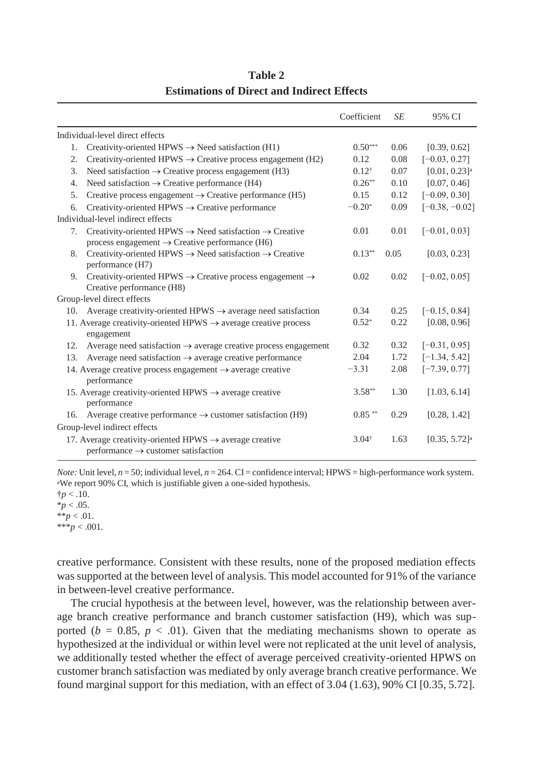|     |                                                                                                                                               | Coefficient      | SE   | 95% CI                      |
|-----|-----------------------------------------------------------------------------------------------------------------------------------------------|------------------|------|-----------------------------|
|     | Individual-level direct effects                                                                                                               |                  |      |                             |
| 1.  | Creativity-oriented HPWS $\rightarrow$ Need satisfaction (H1)                                                                                 | $0.50***$        | 0.06 | [0.39, 0.62]                |
| 2.  | Creativity-oriented HPWS $\rightarrow$ Creative process engagement (H2)                                                                       | 0.12             | 0.08 | $[-0.03, 0.27]$             |
| 3.  | Need satisfaction $\rightarrow$ Creative process engagement (H3)                                                                              | $0.12^{\dagger}$ | 0.07 | $[0.01, 0.23]$ <sup>a</sup> |
| 4.  | Need satisfaction $\rightarrow$ Creative performance (H4)                                                                                     | $0.26**$         | 0.10 | [0.07, 0.46]                |
| 5.  | Creative process engagement $\rightarrow$ Creative performance (H5)                                                                           | 0.15             | 0.12 | $[-0.09, 0.30]$             |
| б.  | Creativity-oriented HPWS $\rightarrow$ Creative performance                                                                                   | $-0.20*$         | 0.09 | $[-0.38, -0.02]$            |
|     | Individual-level indirect effects                                                                                                             |                  |      |                             |
| 7.  | Creativity-oriented HPWS $\rightarrow$ Need satisfaction $\rightarrow$ Creative<br>process engagement $\rightarrow$ Creative performance (H6) | 0.01             | 0.01 | $[-0.01, 0.03]$             |
| 8.  | Creativity-oriented HPWS $\rightarrow$ Need satisfaction $\rightarrow$ Creative<br>performance (H7)                                           | $0.13**$         | 0.05 | [0.03, 0.23]                |
|     | 9. Creativity-oriented HPWS $\rightarrow$ Creative process engagement $\rightarrow$<br>Creative performance (H8)                              | 0.02             | 0.02 | $[-0.02, 0.05]$             |
|     | Group-level direct effects                                                                                                                    |                  |      |                             |
|     | 10. Average creativity-oriented HPWS $\rightarrow$ average need satisfaction                                                                  | 0.34             | 0.25 | $[-0.15, 0.84]$             |
|     | 11. Average creativity-oriented HPWS $\rightarrow$ average creative process<br>engagement                                                     | $0.52*$          | 0.22 | [0.08, 0.96]                |
| 12. | Average need satisfaction $\rightarrow$ average creative process engagement                                                                   | 0.32             | 0.32 | $[-0.31, 0.95]$             |
| 13. | Average need satisfaction $\rightarrow$ average creative performance                                                                          | 2.04             | 1.72 | $[-1.34, 5.42]$             |
|     | 14. Average creative process engagement $\rightarrow$ average creative<br>performance                                                         | $-3.31$          | 2.08 | $[-7.39, 0.77]$             |
|     | 15. Average creativity-oriented HPWS $\rightarrow$ average creative<br>performance                                                            | $3.58**$         | 1.30 | [1.03, 6.14]                |
|     | 16. Average creative performance $\rightarrow$ customer satisfaction (H9)                                                                     | $0.85***$        | 0.29 | [0.28, 1.42]                |
|     | Group-level indirect effects                                                                                                                  |                  |      |                             |
|     | 17. Average creativity-oriented HPWS $\rightarrow$ average creative<br>$performance \rightarrow customer$ satisfaction                        | $3.04^{\dagger}$ | 1.63 | $[0.35, 5.72]$ <sup>a</sup> |

# **Table 2 Estimations of Direct and Indirect Effects**

*Note:* Unit level,  $n = 50$ ; individual level,  $n = 264$ . CI = confidence interval; HPWS = high-performance work system. <sup>a</sup>We report 90% CI, which is justifiable given a one-sided hypothesis.

 $\ddagger p < .10$ .  $*_{p}$  < .05.  $*^*p < .01$ .  $***p < .001$ .

creative performance. Consistent with these results, none of the proposed mediation effects was supported at the between level of analysis. This model accounted for 91% of the variance in between-level creative performance.

The crucial hypothesis at the between level, however, was the relationship between average branch creative performance and branch customer satisfaction (H9), which was supported ( $b = 0.85$ ,  $p < .01$ ). Given that the mediating mechanisms shown to operate as hypothesized at the individual or within level were not replicated at the unit level of analysis, we additionally tested whether the effect of average perceived creativity-oriented HPWS on customer branch satisfaction was mediated by only average branch creative performance. We found marginal support for this mediation, with an effect of 3.04 (1.63), 90% CI [0.35, 5.72].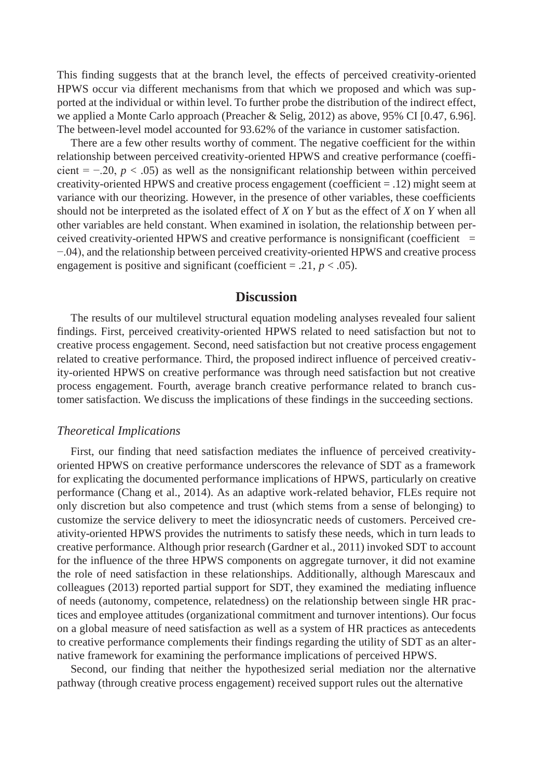This finding suggests that at the branch level, the effects of perceived creativity-oriented HPWS occur via different mechanisms from that which we proposed and which was supported at the individual or within level. To further probe the distribution of the indirect effect, we applied a Monte Carlo approach (Preacher & Selig, 2012) as above, 95% CI [0.47, 6.96]. The between-level model accounted for 93.62% of the variance in customer satisfaction.

There are a few other results worthy of comment. The negative coefficient for the within relationship between perceived creativity-oriented HPWS and creative performance (coefficient =  $-20$ ,  $p < .05$ ) as well as the nonsignificant relationship between within perceived creativity-oriented HPWS and creative process engagement (coefficient = .12) might seem at variance with our theorizing. However, in the presence of other variables, these coefficients should not be interpreted as the isolated effect of *X* on *Y* but as the effect of *X* on *Y* when all other variables are held constant. When examined in isolation, the relationship between perceived creativity-oriented HPWS and creative performance is nonsignificant (coefficient  $=$ −.04), and the relationship between perceived creativity-oriented HPWS and creative process engagement is positive and significant (coefficient = .21,  $p < .05$ ).

## **Discussion**

The results of our multilevel structural equation modeling analyses revealed four salient findings. First, perceived creativity-oriented HPWS related to need satisfaction but not to creative process engagement. Second, need satisfaction but not creative process engagement related to creative performance. Third, the proposed indirect influence of perceived creativity-oriented HPWS on creative performance was through need satisfaction but not creative process engagement. Fourth, average branch creative performance related to branch customer satisfaction. We discuss the implications of these findings in the succeeding sections.

#### *Theoretical Implications*

First, our finding that need satisfaction mediates the influence of perceived creativityoriented HPWS on creative performance underscores the relevance of SDT as a framework for explicating the documented performance implications of HPWS, particularly on creative performance (Chang et al., 2014). As an adaptive work-related behavior, FLEs require not only discretion but also competence and trust (which stems from a sense of belonging) to customize the service delivery to meet the idiosyncratic needs of customers. Perceived creativity-oriented HPWS provides the nutriments to satisfy these needs, which in turn leads to creative performance. Although prior research (Gardner et al., 2011) invoked SDT to account for the influence of the three HPWS components on aggregate turnover, it did not examine the role of need satisfaction in these relationships. Additionally, although Marescaux and colleagues (2013) reported partial support for SDT, they examined the mediating influence of needs (autonomy, competence, relatedness) on the relationship between single HR practices and employee attitudes (organizational commitment and turnover intentions). Our focus on a global measure of need satisfaction as well as a system of HR practices as antecedents to creative performance complements their findings regarding the utility of SDT as an alternative framework for examining the performance implications of perceived HPWS.

Second, our finding that neither the hypothesized serial mediation nor the alternative pathway (through creative process engagement) received support rules out the alternative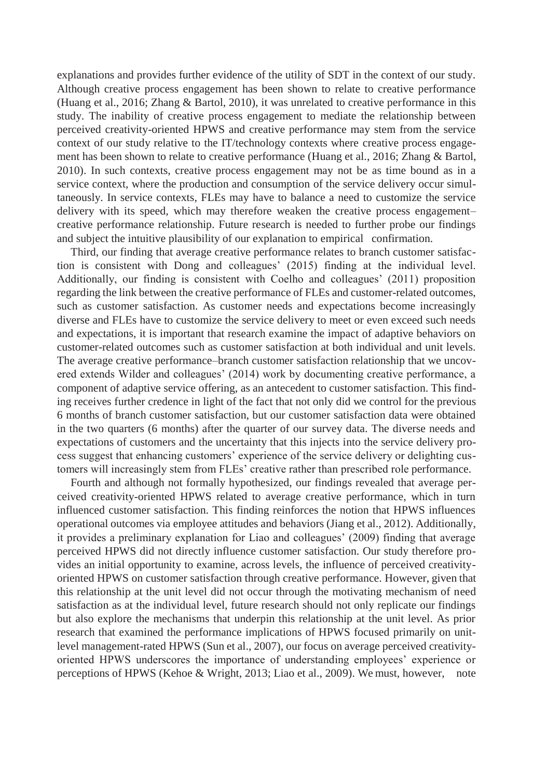explanations and provides further evidence of the utility of SDT in the context of our study. Although creative process engagement has been shown to relate to creative performance (Huang et al., 2016; Zhang & Bartol, 2010), it was unrelated to creative performance in this study. The inability of creative process engagement to mediate the relationship between perceived creativity-oriented HPWS and creative performance may stem from the service context of our study relative to the IT/technology contexts where creative process engagement has been shown to relate to creative performance (Huang et al., 2016; Zhang & Bartol, 2010). In such contexts, creative process engagement may not be as time bound as in a service context, where the production and consumption of the service delivery occur simultaneously. In service contexts, FLEs may have to balance a need to customize the service delivery with its speed, which may therefore weaken the creative process engagement– creative performance relationship. Future research is needed to further probe our findings and subject the intuitive plausibility of our explanation to empirical confirmation.

Third, our finding that average creative performance relates to branch customer satisfaction is consistent with Dong and colleagues' (2015) finding at the individual level. Additionally, our finding is consistent with Coelho and colleagues' (2011) proposition regarding the link between the creative performance of FLEs and customer-related outcomes, such as customer satisfaction. As customer needs and expectations become increasingly diverse and FLEs have to customize the service delivery to meet or even exceed such needs and expectations, it is important that research examine the impact of adaptive behaviors on customer-related outcomes such as customer satisfaction at both individual and unit levels. The average creative performance–branch customer satisfaction relationship that we uncovered extends Wilder and colleagues' (2014) work by documenting creative performance, a component of adaptive service offering, as an antecedent to customer satisfaction. This finding receives further credence in light of the fact that not only did we control for the previous 6 months of branch customer satisfaction, but our customer satisfaction data were obtained in the two quarters (6 months) after the quarter of our survey data. The diverse needs and expectations of customers and the uncertainty that this injects into the service delivery process suggest that enhancing customers' experience of the service delivery or delighting customers will increasingly stem from FLEs' creative rather than prescribed role performance.

Fourth and although not formally hypothesized, our findings revealed that average perceived creativity-oriented HPWS related to average creative performance, which in turn influenced customer satisfaction. This finding reinforces the notion that HPWS influences operational outcomes via employee attitudes and behaviors (Jiang et al., 2012). Additionally, it provides a preliminary explanation for Liao and colleagues' (2009) finding that average perceived HPWS did not directly influence customer satisfaction. Our study therefore provides an initial opportunity to examine, across levels, the influence of perceived creativityoriented HPWS on customer satisfaction through creative performance. However, given that this relationship at the unit level did not occur through the motivating mechanism of need satisfaction as at the individual level, future research should not only replicate our findings but also explore the mechanisms that underpin this relationship at the unit level. As prior research that examined the performance implications of HPWS focused primarily on unitlevel management-rated HPWS (Sun et al., 2007), our focus on average perceived creativityoriented HPWS underscores the importance of understanding employees' experience or perceptions of HPWS (Kehoe & Wright, 2013; Liao et al., 2009). We must, however, note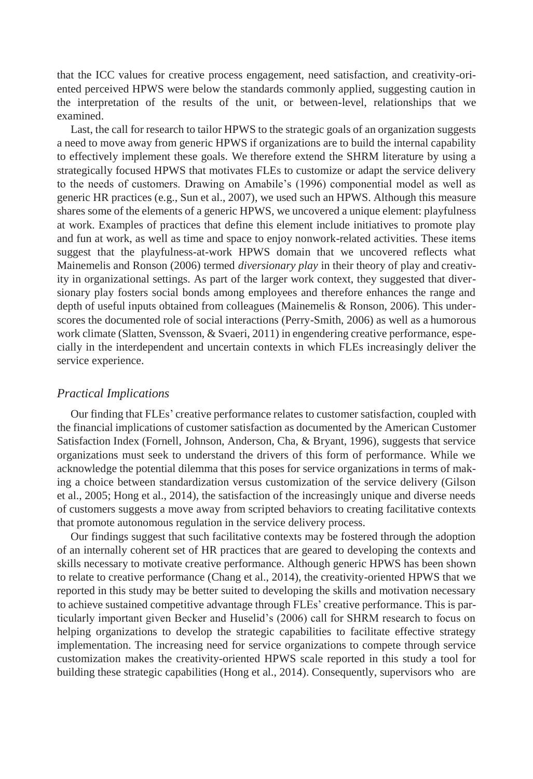that the ICC values for creative process engagement, need satisfaction, and creativity-oriented perceived HPWS were below the standards commonly applied, suggesting caution in the interpretation of the results of the unit, or between-level, relationships that we examined.

Last, the call for research to tailor HPWS to the strategic goals of an organization suggests a need to move away from generic HPWS if organizations are to build the internal capability to effectively implement these goals. We therefore extend the SHRM literature by using a strategically focused HPWS that motivates FLEs to customize or adapt the service delivery to the needs of customers. Drawing on Amabile's (1996) componential model as well as generic HR practices (e.g., Sun et al., 2007), we used such an HPWS. Although this measure shares some of the elements of a generic HPWS, we uncovered a unique element: playfulness at work. Examples of practices that define this element include initiatives to promote play and fun at work, as well as time and space to enjoy nonwork-related activities. These items suggest that the playfulness-at-work HPWS domain that we uncovered reflects what Mainemelis and Ronson (2006) termed *diversionary play* in their theory of play and creativity in organizational settings. As part of the larger work context, they suggested that diversionary play fosters social bonds among employees and therefore enhances the range and depth of useful inputs obtained from colleagues (Mainemelis & Ronson, 2006). This underscores the documented role of social interactions (Perry-Smith, 2006) as well as a humorous work climate (Slatten, Svensson, & Svaeri, 2011) in engendering creative performance, especially in the interdependent and uncertain contexts in which FLEs increasingly deliver the service experience.

#### *Practical Implications*

Our finding that FLEs' creative performance relates to customer satisfaction, coupled with the financial implications of customer satisfaction as documented by the American Customer Satisfaction Index (Fornell, Johnson, Anderson, Cha, & Bryant, 1996), suggests that service organizations must seek to understand the drivers of this form of performance. While we acknowledge the potential dilemma that this poses for service organizations in terms of making a choice between standardization versus customization of the service delivery (Gilson et al., 2005; Hong et al., 2014), the satisfaction of the increasingly unique and diverse needs of customers suggests a move away from scripted behaviors to creating facilitative contexts that promote autonomous regulation in the service delivery process.

Our findings suggest that such facilitative contexts may be fostered through the adoption of an internally coherent set of HR practices that are geared to developing the contexts and skills necessary to motivate creative performance. Although generic HPWS has been shown to relate to creative performance (Chang et al., 2014), the creativity-oriented HPWS that we reported in this study may be better suited to developing the skills and motivation necessary to achieve sustained competitive advantage through FLEs' creative performance. This is particularly important given Becker and Huselid's (2006) call for SHRM research to focus on helping organizations to develop the strategic capabilities to facilitate effective strategy implementation. The increasing need for service organizations to compete through service customization makes the creativity-oriented HPWS scale reported in this study a tool for building these strategic capabilities (Hong et al., 2014). Consequently, supervisors who are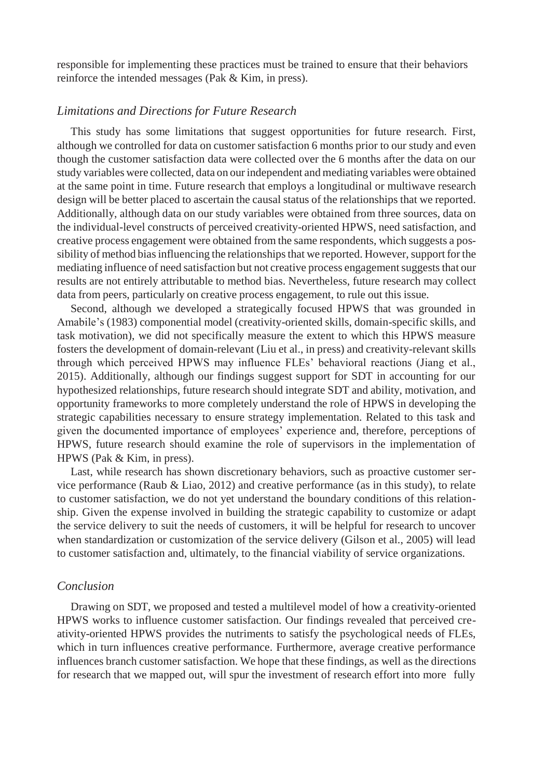responsible for implementing these practices must be trained to ensure that their behaviors reinforce the intended messages (Pak & Kim, in press).

#### *Limitations and Directions for Future Research*

This study has some limitations that suggest opportunities for future research. First, although we controlled for data on customer satisfaction 6 months prior to our study and even though the customer satisfaction data were collected over the 6 months after the data on our study variables were collected, data on ourindependent and mediating variables were obtained at the same point in time. Future research that employs a longitudinal or multiwave research design will be better placed to ascertain the causal status of the relationships that we reported. Additionally, although data on our study variables were obtained from three sources, data on the individual-level constructs of perceived creativity-oriented HPWS, need satisfaction, and creative process engagement were obtained from the same respondents, which suggests a possibility of method bias influencing the relationships that we reported. However, support for the mediating influence of need satisfaction but not creative process engagementsuggeststhat our results are not entirely attributable to method bias. Nevertheless, future research may collect data from peers, particularly on creative process engagement, to rule out this issue.

Second, although we developed a strategically focused HPWS that was grounded in Amabile's (1983) componential model (creativity-oriented skills, domain-specific skills, and task motivation), we did not specifically measure the extent to which this HPWS measure fosters the development of domain-relevant (Liu et al., in press) and creativity-relevant skills through which perceived HPWS may influence FLEs' behavioral reactions (Jiang et al., 2015). Additionally, although our findings suggest support for SDT in accounting for our hypothesized relationships, future research should integrate SDT and ability, motivation, and opportunity frameworks to more completely understand the role of HPWS in developing the strategic capabilities necessary to ensure strategy implementation. Related to this task and given the documented importance of employees' experience and, therefore, perceptions of HPWS, future research should examine the role of supervisors in the implementation of HPWS (Pak & Kim, in press).

Last, while research has shown discretionary behaviors, such as proactive customer service performance (Raub & Liao, 2012) and creative performance (as in this study), to relate to customer satisfaction, we do not yet understand the boundary conditions of this relationship. Given the expense involved in building the strategic capability to customize or adapt the service delivery to suit the needs of customers, it will be helpful for research to uncover when standardization or customization of the service delivery (Gilson et al., 2005) will lead to customer satisfaction and, ultimately, to the financial viability of service organizations.

## *Conclusion*

Drawing on SDT, we proposed and tested a multilevel model of how a creativity-oriented HPWS works to influence customer satisfaction. Our findings revealed that perceived creativity-oriented HPWS provides the nutriments to satisfy the psychological needs of FLEs, which in turn influences creative performance. Furthermore, average creative performance influences branch customer satisfaction. We hope that these findings, as well as the directions for research that we mapped out, will spur the investment of research effort into more fully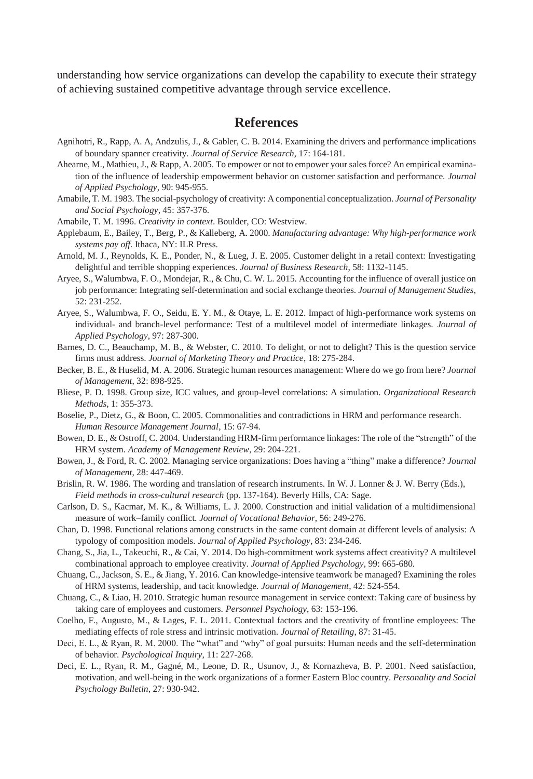understanding how service organizations can develop the capability to execute their strategy of achieving sustained competitive advantage through service excellence.

## **References**

- Agnihotri, R., Rapp, A. A, Andzulis, J., & Gabler, C. B. 2014. Examining the drivers and performance implications of boundary spanner creativity. *Journal of Service Research*, 17: 164-181.
- Ahearne, M., Mathieu, J., & Rapp, A. 2005. To empower or not to empower yoursalesforce? An empirical examination of the influence of leadership empowerment behavior on customer satisfaction and performance. *Journal of Applied Psychology*, 90: 945-955.
- Amabile, T. M. 1983. The social-psychology of creativity: A componential conceptualization. *Journal of Personality and Social Psychology*, 45: 357-376.
- Amabile, T. M. 1996. *Creativity in context*. Boulder, CO: Westview.
- Applebaum, E., Bailey, T., Berg, P., & Kalleberg, A. 2000. *Manufacturing advantage: Why high-performance work systems pay off*. Ithaca, NY: ILR Press.
- Arnold, M. J., Reynolds, K. E., Ponder, N., & Lueg, J. E. 2005. Customer delight in a retail context: Investigating delightful and terrible shopping experiences. *Journal of Business Research*, 58: 1132-1145.
- Aryee, S., Walumbwa, F. O., Mondejar, R., & Chu, C. W. L. 2015. Accounting for the influence of overall justice on job performance: Integrating self-determination and social exchange theories. *Journal of Management Studies*, 52: 231-252.
- Aryee, S., Walumbwa, F. O., Seidu, E. Y. M., & Otaye, L. E. 2012. Impact of high-performance work systems on individual- and branch-level performance: Test of a multilevel model of intermediate linkages. *Journal of Applied Psychology*, 97: 287-300.
- Barnes, D. C., Beauchamp, M. B., & Webster, C. 2010. To delight, or not to delight? This is the question service firms must address. *Journal of Marketing Theory and Practice*, 18: 275-284.
- Becker, B. E., & Huselid, M. A. 2006. Strategic human resources management: Where do we go from here? *Journal of Management*, 32: 898-925.
- Bliese, P. D. 1998. Group size, ICC values, and group-level correlations: A simulation. *Organizational Research Methods*, 1: 355-373.
- Boselie, P., Dietz, G., & Boon, C. 2005. Commonalities and contradictions in HRM and performance research. *Human Resource Management Journal*, 15: 67-94.
- Bowen, D. E., & Ostroff, C. 2004. Understanding HRM-firm performance linkages: The role of the "strength" of the HRM system. *Academy of Management Review*, 29: 204-221.
- Bowen, J., & Ford, R. C. 2002. Managing service organizations: Does having a "thing" make a difference? *Journal of Management*, 28: 447-469.
- Brislin, R. W. 1986. The wording and translation of research instruments. In W. J. Lonner & J. W. Berry (Eds.), *Field methods in cross-cultural research* (pp. 137-164). Beverly Hills, CA: Sage.
- Carlson, D. S., Kacmar, M. K., & Williams, L. J. 2000. Construction and initial validation of a multidimensional measure of work–family conflict. *Journal of Vocational Behavior*, 56: 249-276.
- Chan, D. 1998. Functional relations among constructs in the same content domain at different levels of analysis: A typology of composition models. *Journal of Applied Psychology*, 83: 234-246.
- Chang, S., Jia, L., Takeuchi, R., & Cai, Y. 2014. Do high-commitment work systems affect creativity? A multilevel combinational approach to employee creativity. *Journal of Applied Psychology*, 99: 665-680.
- Chuang, C., Jackson, S. E., & Jiang, Y. 2016. Can knowledge-intensive teamwork be managed? Examining the roles of HRM systems, leadership, and tacit knowledge. *Journal of Management*, 42: 524-554.
- Chuang, C., & Liao, H. 2010. Strategic human resource management in service context: Taking care of business by taking care of employees and customers. *Personnel Psychology*, 63: 153-196.
- Coelho, F., Augusto, M., & Lages, F. L. 2011. Contextual factors and the creativity of frontline employees: The mediating effects of role stress and intrinsic motivation. *Journal of Retailing*, 87: 31-45.
- Deci, E. L., & Ryan, R. M. 2000. The "what" and "why" of goal pursuits: Human needs and the self-determination of behavior. *Psychological Inquiry*, 11: 227-268.
- Deci, E. L., Ryan, R. M., Gagné, M., Leone, D. R., Usunov, J., & Kornazheva, B. P. 2001. Need satisfaction, motivation, and well-being in the work organizations of a former Eastern Bloc country. *Personality and Social Psychology Bulletin*, 27: 930-942.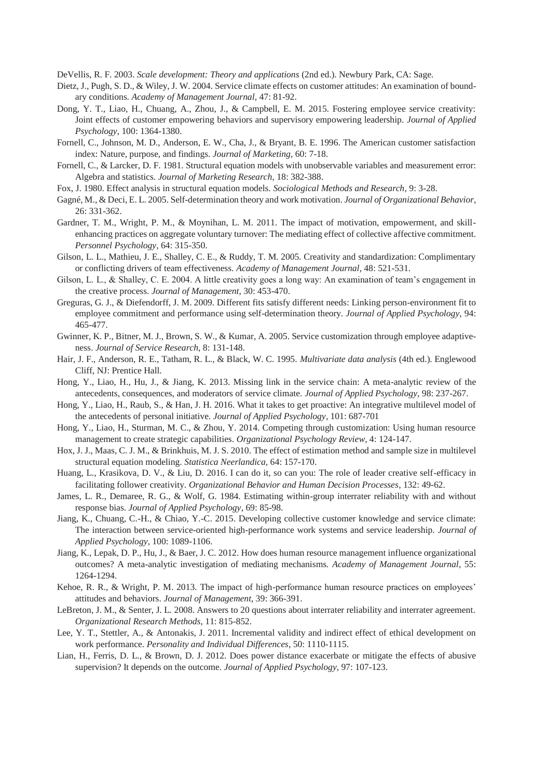DeVellis, R. F. 2003. *Scale development: Theory and applications* (2nd ed.). Newbury Park, CA: Sage.

- Dietz, J., Pugh, S. D., & Wiley, J. W. 2004. Service climate effects on customer attitudes: An examination of boundary conditions. *Academy of Management Journal*, 47: 81-92.
- Dong, Y. T., Liao, H., Chuang, A., Zhou, J., & Campbell, E. M. 2015. Fostering employee service creativity: Joint effects of customer empowering behaviors and supervisory empowering leadership. *Journal of Applied Psychology*, 100: 1364-1380.
- Fornell, C., Johnson, M. D., Anderson, E. W., Cha, J., & Bryant, B. E. 1996. The American customer satisfaction index: Nature, purpose, and findings. *Journal of Marketing*, 60: 7-18.
- Fornell, C., & Larcker, D. F. 1981. Structural equation models with unobservable variables and measurement error: Algebra and statistics. *Journal of Marketing Research*, 18: 382-388.
- Fox, J. 1980. Effect analysis in structural equation models. *Sociological Methods and Research*, 9: 3-28.
- Gagné, M., & Deci, E. L. 2005. Self-determination theory and work motivation. *Journal of Organizational Behavior*, 26: 331-362.
- Gardner, T. M., Wright, P. M., & Moynihan, L. M. 2011. The impact of motivation, empowerment, and skillenhancing practices on aggregate voluntary turnover: The mediating effect of collective affective commitment. *Personnel Psychology*, 64: 315-350.
- Gilson, L. L., Mathieu, J. E., Shalley, C. E., & Ruddy, T. M. 2005. Creativity and standardization: Complimentary or conflicting drivers of team effectiveness. *Academy of Management Journal*, 48: 521-531.
- Gilson, L. L., & Shalley, C. E. 2004. A little creativity goes a long way: An examination of team's engagement in the creative process. *Journal of Management*, 30: 453-470.
- Greguras, G. J., & Diefendorff, J. M. 2009. Different fits satisfy different needs: Linking person-environment fit to employee commitment and performance using self-determination theory. *Journal of Applied Psychology*, 94: 465-477.
- Gwinner, K. P., Bitner, M. J., Brown, S. W., & Kumar, A. 2005. Service customization through employee adaptiveness. *Journal of Service Research*, 8: 131-148.
- Hair, J. F., Anderson, R. E., Tatham, R. L., & Black, W. C. 1995. *Multivariate data analysis* (4th ed.). Englewood Cliff, NJ: Prentice Hall.
- Hong, Y., Liao, H., Hu, J., & Jiang, K. 2013. Missing link in the service chain: A meta-analytic review of the antecedents, consequences, and moderators of service climate. *Journal of Applied Psychology*, 98: 237-267.
- Hong, Y., Liao, H., Raub, S., & Han, J. H. 2016. What it takes to get proactive: An integrative multilevel model of the antecedents of personal initiative. *Journal of Applied Psychology*, 101: 687-701
- Hong, Y., Liao, H., Sturman, M. C., & Zhou, Y. 2014. Competing through customization: Using human resource management to create strategic capabilities. *Organizational Psychology Review*, 4: 124-147.
- Hox, J. J., Maas, C. J. M., & Brinkhuis, M. J. S. 2010. The effect of estimation method and sample size in multilevel structural equation modeling. *Statistica Neerlandica*, 64: 157-170.
- Huang, L., Krasikova, D. V., & Liu, D. 2016. I can do it, so can you: The role of leader creative self-efficacy in facilitating follower creativity. *Organizational Behavior and Human Decision Processes*, 132: 49-62.
- James, L. R., Demaree, R. G., & Wolf, G. 1984. Estimating within-group interrater reliability with and without response bias. *Journal of Applied Psychology*, 69: 85-98.
- Jiang, K., Chuang, C.-H., & Chiao, Y.-C. 2015. Developing collective customer knowledge and service climate: The interaction between service-oriented high-performance work systems and service leadership. *Journal of Applied Psychology*, 100: 1089-1106.
- Jiang, K., Lepak, D. P., Hu, J., & Baer, J. C. 2012. How does human resource management influence organizational outcomes? A meta-analytic investigation of mediating mechanisms. *Academy of Management Journal*, 55: 1264-1294.
- Kehoe, R. R., & Wright, P. M. 2013. The impact of high-performance human resource practices on employees' attitudes and behaviors. *Journal of Management*, 39: 366-391.
- LeBreton, J. M., & Senter, J. L. 2008. Answers to 20 questions about interrater reliability and interrater agreement. *Organizational Research Methods*, 11: 815-852.
- Lee, Y. T., Stettler, A., & Antonakis, J. 2011. Incremental validity and indirect effect of ethical development on work performance. *Personality and Individual Differences*, 50: 1110-1115.
- Lian, H., Ferris, D. L., & Brown, D. J. 2012. Does power distance exacerbate or mitigate the effects of abusive supervision? It depends on the outcome. *Journal of Applied Psychology*, 97: 107-123.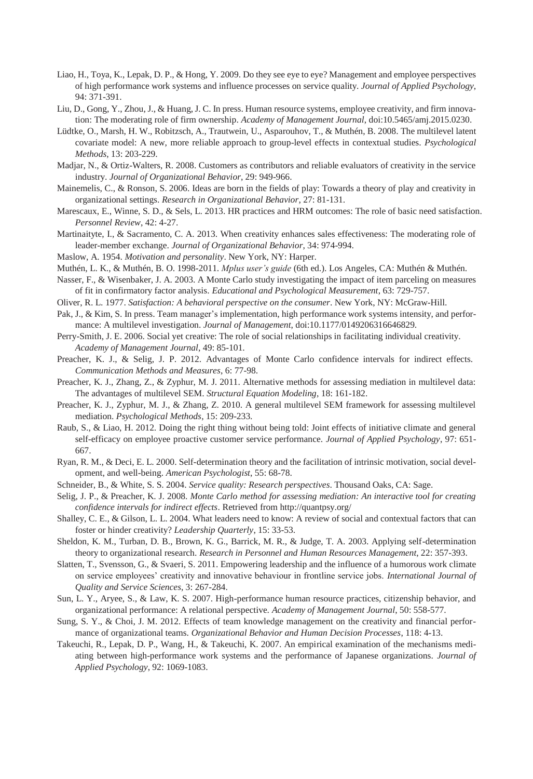- Liao, H., Toya, K., Lepak, D. P., & Hong, Y. 2009. Do they see eye to eye? Management and employee perspectives of high performance work systems and influence processes on service quality. *Journal of Applied Psychology*, 94: 371-391.
- Liu, D., Gong, Y., Zhou, J., & Huang, J. C. In press. Human resource systems, employee creativity, and firm innovation: The moderating role of firm ownership. *Academy of Management Journal*, doi:10.5465/amj.2015.0230.
- Lüdtke, O., Marsh, H. W., Robitzsch, A., Trautwein, U., Asparouhov, T., & Muthén, B. 2008. The multilevel latent covariate model: A new, more reliable approach to group-level effects in contextual studies. *Psychological Methods*, 13: 203-229.
- Madjar, N., & Ortiz-Walters, R. 2008. Customers as contributors and reliable evaluators of creativity in the service industry. *Journal of Organizational Behavior*, 29: 949-966.
- Mainemelis, C., & Ronson, S. 2006. Ideas are born in the fields of play: Towards a theory of play and creativity in organizational settings. *Research in Organizational Behavior*, 27: 81-131.
- Marescaux, E., Winne, S. D., & Sels, L. 2013. HR practices and HRM outcomes: The role of basic need satisfaction. *Personnel Review*, 42: 4-27.
- Martinaityte, I., & Sacramento, C. A. 2013. When creativity enhances sales effectiveness: The moderating role of leader-member exchange. *Journal of Organizational Behavior*, 34: 974-994.
- Maslow, A. 1954. *Motivation and personality*. New York, NY: Harper.
- Muthén, L. K., & Muthén, B. O. 1998-2011. *Mplus user's guide* (6th ed.). Los Angeles, CA: Muthén & Muthén.
- Nasser, F., & Wisenbaker, J. A. 2003. A Monte Carlo study investigating the impact of item parceling on measures of fit in confirmatory factor analysis. *Educational and Psychological Measurement*, 63: 729-757.
- Oliver, R. L. 1977. *Satisfaction: A behavioral perspective on the consumer*. New York, NY: McGraw-Hill.
- Pak, J., & Kim, S. In press. Team manager's implementation, high performance work systems intensity, and performance: A multilevel investigation. *Journal of Management*, doi:10.1177/0149206316646829.
- Perry-Smith, J. E. 2006. Social yet creative: The role of social relationships in facilitating individual creativity. *Academy of Management Journal*, 49: 85-101.
- Preacher, K. J., & Selig, J. P. 2012. Advantages of Monte Carlo confidence intervals for indirect effects. *Communication Methods and Measures*, 6: 77-98.
- Preacher, K. J., Zhang, Z., & Zyphur, M. J. 2011. Alternative methods for assessing mediation in multilevel data: The advantages of multilevel SEM. *Structural Equation Modeling*, 18: 161-182.
- Preacher, K. J., Zyphur, M. J., & Zhang, Z. 2010. A general multilevel SEM framework for assessing multilevel mediation. *Psychological Methods*, 15: 209-233.
- Raub, S., & Liao, H. 2012. Doing the right thing without being told: Joint effects of initiative climate and general self-efficacy on employee proactive customer service performance. *Journal of Applied Psychology*, 97: 651- 667.
- Ryan, R. M., & Deci, E. L. 2000. Self-determination theory and the facilitation of intrinsic motivation, social development, and well-being. *American Psychologist*, 55: 68-78.
- Schneider, B., & White, S. S. 2004. *Service quality: Research perspectives*. Thousand Oaks, CA: Sage.
- Selig, J. P., & Preacher, K. J. 2008. *Monte Carlo method for assessing mediation: An interactive tool for creating confidence intervals for indirect effects*. Retrieved from<http://quantpsy.org/>
- Shalley, C. E., & Gilson, L. L. 2004. What leaders need to know: A review of social and contextual factors that can foster or hinder creativity? *Leadership Quarterly*, 15: 33-53.
- Sheldon, K. M., Turban, D. B., Brown, K. G., Barrick, M. R., & Judge, T. A. 2003. Applying self-determination theory to organizational research. *Research in Personnel and Human Resources Management*, 22: 357-393.
- Slatten, T., Svensson, G., & Svaeri, S. 2011. Empowering leadership and the influence of a humorous work climate on service employees' creativity and innovative behaviour in frontline service jobs. *International Journal of Quality and Service Sciences*, 3: 267-284.
- Sun, L. Y., Aryee, S., & Law, K. S. 2007. High-performance human resource practices, citizenship behavior, and organizational performance: A relational perspective. *Academy of Management Journal*, 50: 558-577.
- Sung, S. Y., & Choi, J. M. 2012. Effects of team knowledge management on the creativity and financial performance of organizational teams. *Organizational Behavior and Human Decision Processes*, 118: 4-13.
- Takeuchi, R., Lepak, D. P., Wang, H., & Takeuchi, K. 2007. An empirical examination of the mechanisms mediating between high-performance work systems and the performance of Japanese organizations. *Journal of Applied Psychology*, 92: 1069-1083.